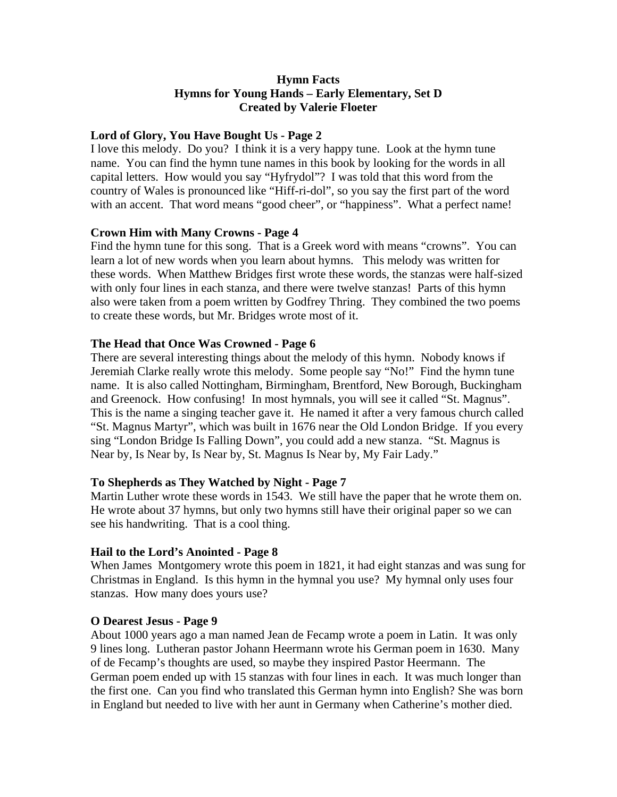## **Hymn Facts Hymns for Young Hands – Early Elementary, Set D Created by Valerie Floeter**

### **Lord of Glory, You Have Bought Us - Page 2**

I love this melody. Do you? I think it is a very happy tune. Look at the hymn tune name. You can find the hymn tune names in this book by looking for the words in all capital letters. How would you say "Hyfrydol"? I was told that this word from the country of Wales is pronounced like "Hiff-ri-dol", so you say the first part of the word with an accent. That word means "good cheer", or "happiness". What a perfect name!

## **Crown Him with Many Crowns - Page 4**

Find the hymn tune for this song. That is a Greek word with means "crowns". You can learn a lot of new words when you learn about hymns. This melody was written for these words. When Matthew Bridges first wrote these words, the stanzas were half-sized with only four lines in each stanza, and there were twelve stanzas! Parts of this hymn also were taken from a poem written by Godfrey Thring. They combined the two poems to create these words, but Mr. Bridges wrote most of it.

## **The Head that Once Was Crowned - Page 6**

There are several interesting things about the melody of this hymn. Nobody knows if Jeremiah Clarke really wrote this melody. Some people say "No!" Find the hymn tune name. It is also called Nottingham, Birmingham, Brentford, New Borough, Buckingham and Greenock. How confusing! In most hymnals, you will see it called "St. Magnus". This is the name a singing teacher gave it. He named it after a very famous church called "St. Magnus Martyr", which was built in 1676 near the Old London Bridge. If you every sing "London Bridge Is Falling Down", you could add a new stanza. "St. Magnus is Near by, Is Near by, Is Near by, St. Magnus Is Near by, My Fair Lady."

### **To Shepherds as They Watched by Night - Page 7**

Martin Luther wrote these words in 1543. We still have the paper that he wrote them on. He wrote about 37 hymns, but only two hymns still have their original paper so we can see his handwriting. That is a cool thing.

### **Hail to the Lord's Anointed - Page 8**

When James Montgomery wrote this poem in 1821, it had eight stanzas and was sung for Christmas in England. Is this hymn in the hymnal you use? My hymnal only uses four stanzas. How many does yours use?

### **O Dearest Jesus - Page 9**

About 1000 years ago a man named Jean de Fecamp wrote a poem in Latin. It was only 9 lines long. Lutheran pastor Johann Heermann wrote his German poem in 1630. Many of de Fecamp's thoughts are used, so maybe they inspired Pastor Heermann. The German poem ended up with 15 stanzas with four lines in each. It was much longer than the first one. Can you find who translated this German hymn into English? She was born in England but needed to live with her aunt in Germany when Catherine's mother died.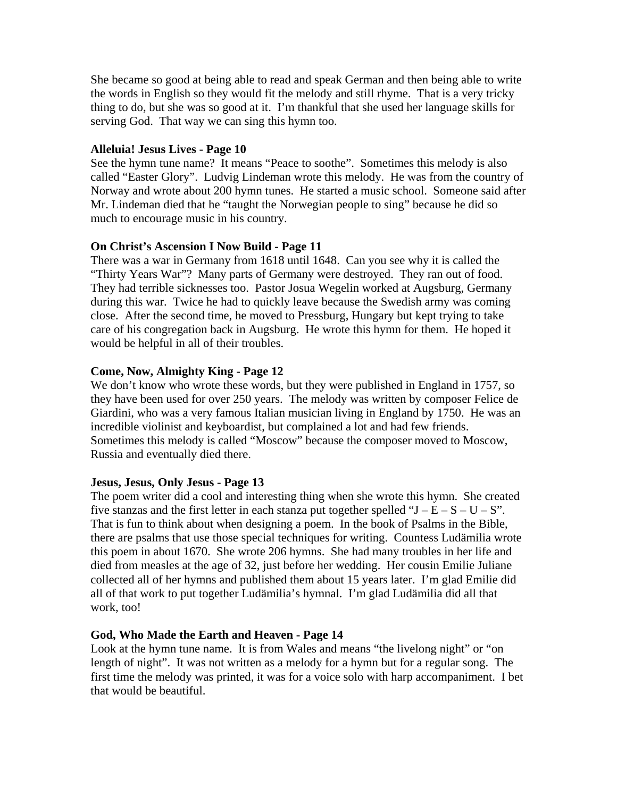She became so good at being able to read and speak German and then being able to write the words in English so they would fit the melody and still rhyme. That is a very tricky thing to do, but she was so good at it. I'm thankful that she used her language skills for serving God. That way we can sing this hymn too.

## **Alleluia! Jesus Lives - Page 10**

See the hymn tune name? It means "Peace to soothe". Sometimes this melody is also called "Easter Glory". Ludvig Lindeman wrote this melody. He was from the country of Norway and wrote about 200 hymn tunes. He started a music school. Someone said after Mr. Lindeman died that he "taught the Norwegian people to sing" because he did so much to encourage music in his country.

# **On Christ's Ascension I Now Build - Page 11**

There was a war in Germany from 1618 until 1648. Can you see why it is called the "Thirty Years War"? Many parts of Germany were destroyed. They ran out of food. They had terrible sicknesses too. Pastor Josua Wegelin worked at Augsburg, Germany during this war. Twice he had to quickly leave because the Swedish army was coming close. After the second time, he moved to Pressburg, Hungary but kept trying to take care of his congregation back in Augsburg. He wrote this hymn for them. He hoped it would be helpful in all of their troubles.

## **Come, Now, Almighty King - Page 12**

We don't know who wrote these words, but they were published in England in 1757, so they have been used for over 250 years. The melody was written by composer Felice de Giardini, who was a very famous Italian musician living in England by 1750. He was an incredible violinist and keyboardist, but complained a lot and had few friends. Sometimes this melody is called "Moscow" because the composer moved to Moscow, Russia and eventually died there.

### **Jesus, Jesus, Only Jesus - Page 13**

The poem writer did a cool and interesting thing when she wrote this hymn. She created five stanzas and the first letter in each stanza put together spelled " $J - E - S - U - S$ ". That is fun to think about when designing a poem. In the book of Psalms in the Bible, there are psalms that use those special techniques for writing. Countess Ludämilia wrote this poem in about 1670. She wrote 206 hymns. She had many troubles in her life and died from measles at the age of 32, just before her wedding. Her cousin Emilie Juliane collected all of her hymns and published them about 15 years later. I'm glad Emilie did all of that work to put together Ludämilia's hymnal. I'm glad Ludämilia did all that work, too!

### **God, Who Made the Earth and Heaven - Page 14**

Look at the hymn tune name. It is from Wales and means "the livelong night" or "on length of night". It was not written as a melody for a hymn but for a regular song. The first time the melody was printed, it was for a voice solo with harp accompaniment. I bet that would be beautiful.